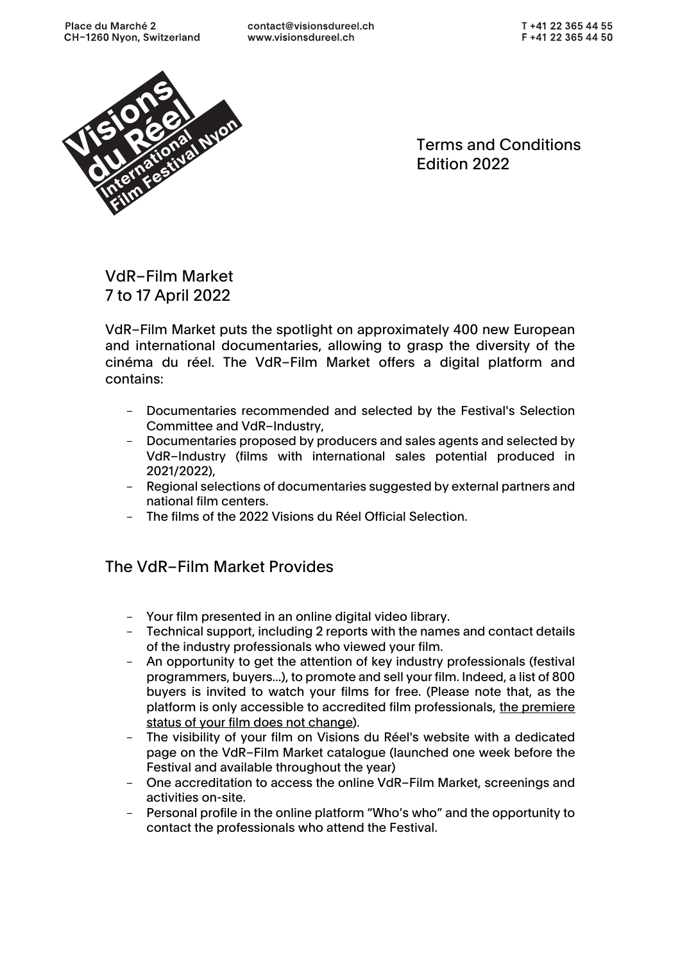

Terms and Conditions Edition 2022

VdR–Film Market 7 to 17 April 2022

VdR–Film Market puts the spotlight on approximately 400 new European and international documentaries, allowing to grasp the diversity of the cinéma du réel. The VdR–Film Market offers a digital platform and contains:

- Documentaries recommended and selected by the Festival's Selection Committee and VdR–Industry,
- Documentaries proposed by producers and sales agents and selected by VdR–Industry (films with international sales potential produced in 2021/2022),
- Regional selections of documentaries suggested by external partners and national film centers.
- The films of the 2022 Visions du Réel Official Selection.

# The VdR–Film Market Provides

- Your film presented in an online digital video library.
- Technical support, including 2 reports with the names and contact details of the industry professionals who viewed your film.
- An opportunity to get the attention of key industry professionals (festival programmers, buyers...), to promote and sell your film. Indeed, a list of 800 buyers is invited to watch your films for free. (Please note that, as the platform is only accessible to accredited film professionals, the premiere status of your film does not change).
- The visibility of your film on Visions du Réel's website with a dedicated page on the VdR–Film Market catalogue (launched one week before the Festival and available throughout the year)
- One accreditation to access the online VdR–Film Market, screenings and activities on-site.
- Personal profile in the online platform "Who's who" and the opportunity to contact the professionals who attend the Festival.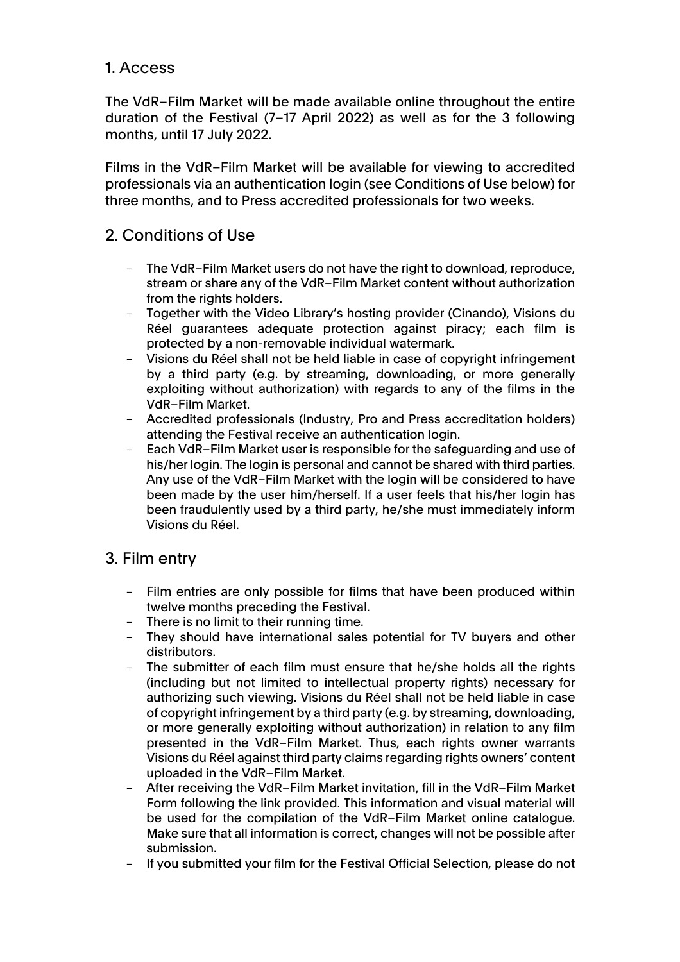### 1. Access

The VdR–Film Market will be made available online throughout the entire duration of the Festival (7–17 April 2022) as well as for the 3 following months, until 17 July 2022.

Films in the VdR–Film Market will be available for viewing to accredited professionals via an authentication login (see Conditions of Use below) for three months, and to Press accredited professionals for two weeks.

## 2. Conditions of Use

- The VdR-Film Market users do not have the right to download, reproduce, stream or share any of the VdR–Film Market content without authorization from the rights holders.
- Together with the Video Library's hosting provider (Cinando), Visions du Réel guarantees adequate protection against piracy; each film is protected by a non-removable individual watermark.
- Visions du Réel shall not be held liable in case of copyright infringement by a third party (e.g. by streaming, downloading, or more generally exploiting without authorization) with regards to any of the films in the VdR–Film Market.
- Accredited professionals (Industry, Pro and Press accreditation holders) attending the Festival receive an authentication login.
- Each VdR–Film Market user is responsible for the safeguarding and use of his/her login. The login is personal and cannot be shared with third parties. Any use of the VdR–Film Market with the login will be considered to have been made by the user him/herself. If a user feels that his/her login has been fraudulently used by a third party, he/she must immediately inform Visions du Réel.

## 3. Film entry

- Film entries are only possible for films that have been produced within twelve months preceding the Festival.
- There is no limit to their running time.
- They should have international sales potential for TV buyers and other distributors.
- The submitter of each film must ensure that he/she holds all the rights (including but not limited to intellectual property rights) necessary for authorizing such viewing. Visions du Réel shall not be held liable in case of copyright infringement by a third party (e.g. by streaming, downloading, or more generally exploiting without authorization) in relation to any film presented in the VdR–Film Market. Thus, each rights owner warrants Visions du Réel against third party claims regarding rights owners' content uploaded in the VdR–Film Market.
- After receiving the VdR–Film Market invitation, fill in the VdR–Film Market Form following the link provided. This information and visual material will be used for the compilation of the VdR–Film Market online catalogue. Make sure that all information is correct, changes will not be possible after submission.
- If you submitted your film for the Festival Official Selection, please do not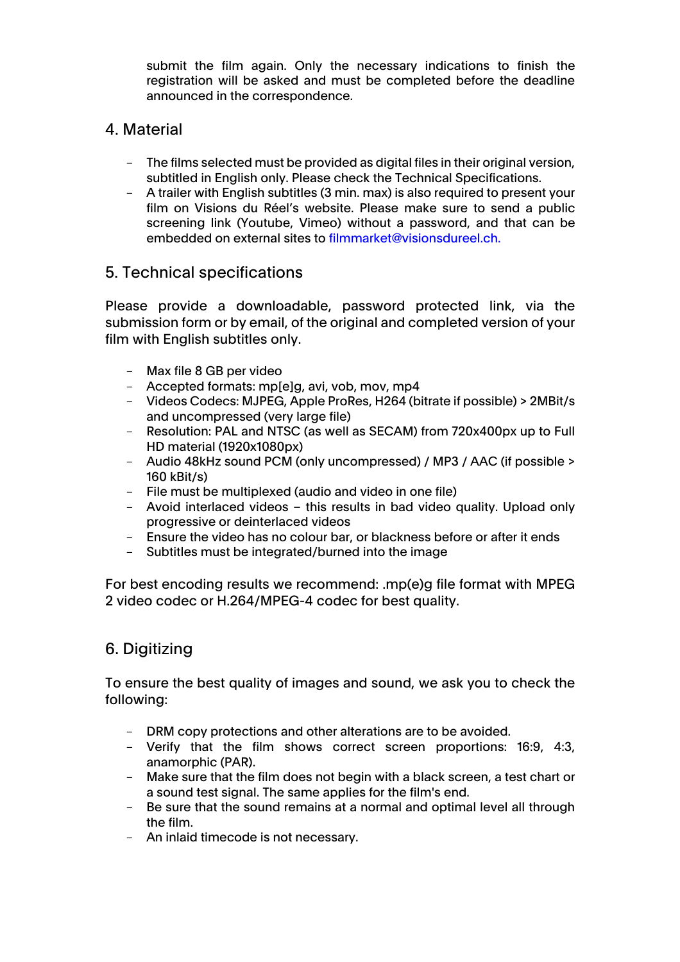submit the film again. Only the necessary indications to finish the registration will be asked and must be completed before the deadline announced in the correspondence.

#### 4. Material

- The films selected must be provided as digital files in their original version, subtitled in English only. Please check the Technical Specifications.
- A trailer with English subtitles (3 min. max) is also required to present your film on Visions du Réel's website. Please make sure to send a public screening link (Youtube, Vimeo) without a password, and that can be embedded on external sites to filmmarket@visionsdureel.ch.

### 5. Technical specifications

Please provide a downloadable, password protected link, via the submission form or by email, of the original and completed version of your film with English subtitles only.

- Max file 8 GB per video
- Accepted formats: mp[e]g, avi, vob, mov, mp4
- Videos Codecs: MJPEG, Apple ProRes, H264 (bitrate if possible) > 2MBit/s and uncompressed (very large file)
- Resolution: PAL and NTSC (as well as SECAM) from 720x400px up to Full HD material (1920x1080px)
- Audio 48kHz sound PCM (only uncompressed) / MP3 / AAC (if possible > 160 kBit/s)
- File must be multiplexed (audio and video in one file)
- Avoid interlaced videos this results in bad video quality. Upload only progressive or deinterlaced videos
- Ensure the video has no colour bar, or blackness before or after it ends
- Subtitles must be integrated/burned into the image

For best encoding results we recommend: .mp(e)g file format with MPEG 2 video codec or H.264/MPEG-4 codec for best quality.

## 6. Digitizing

To ensure the best quality of images and sound, we ask you to check the following:

- DRM copy protections and other alterations are to be avoided.
- Verify that the film shows correct screen proportions: 16:9, 4:3, anamorphic (PAR).
- Make sure that the film does not begin with a black screen, a test chart or a sound test signal. The same applies for the film's end.
- Be sure that the sound remains at a normal and optimal level all through the film.
- An inlaid timecode is not necessary.